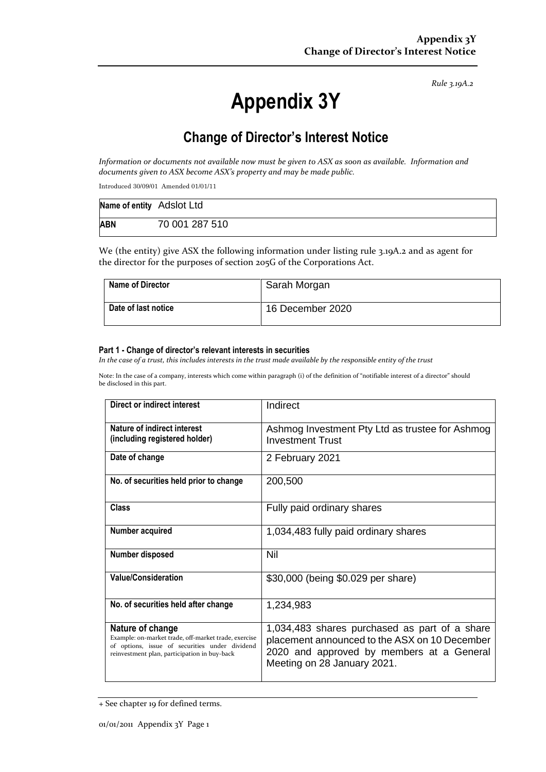*Rule 3.19A.2*

# **Appendix 3Y**

# **Change of Director's Interest Notice**

*Information or documents not available now must be given to ASX as soon as available. Information and documents given to ASX become ASX's property and may be made public.*

Introduced 30/09/01 Amended 01/01/11

| Name of entity Adslot Ltd |                |
|---------------------------|----------------|
| <b>ABN</b>                | 70 001 287 510 |

We (the entity) give ASX the following information under listing rule 3.19A.2 and as agent for the director for the purposes of section 205G of the Corporations Act.

| <b>Name of Director</b> | Sarah Morgan     |
|-------------------------|------------------|
| Date of last notice     | 16 December 2020 |

#### **Part 1 - Change of director's relevant interests in securities**

*In the case of a trust, this includes interests in the trust made available by the responsible entity of the trust*

Note: In the case of a company, interests which come within paragraph (i) of the definition of "notifiable interest of a director" should be disclosed in this part.

| Direct or indirect interest                                                                                                                                                | Indirect                                                                                                                                                                   |
|----------------------------------------------------------------------------------------------------------------------------------------------------------------------------|----------------------------------------------------------------------------------------------------------------------------------------------------------------------------|
| Nature of indirect interest<br>(including registered holder)                                                                                                               | Ashmog Investment Pty Ltd as trustee for Ashmog<br><b>Investment Trust</b>                                                                                                 |
| Date of change                                                                                                                                                             | 2 February 2021                                                                                                                                                            |
| No. of securities held prior to change                                                                                                                                     | 200,500                                                                                                                                                                    |
| Class                                                                                                                                                                      | Fully paid ordinary shares                                                                                                                                                 |
| Number acquired                                                                                                                                                            | 1,034,483 fully paid ordinary shares                                                                                                                                       |
| Number disposed                                                                                                                                                            | Nil                                                                                                                                                                        |
| <b>Value/Consideration</b>                                                                                                                                                 | \$30,000 (being \$0.029 per share)                                                                                                                                         |
| No. of securities held after change                                                                                                                                        | 1,234,983                                                                                                                                                                  |
| Nature of change<br>Example: on-market trade, off-market trade, exercise<br>of options, issue of securities under dividend<br>reinvestment plan, participation in buy-back | 1,034,483 shares purchased as part of a share<br>placement announced to the ASX on 10 December<br>2020 and approved by members at a General<br>Meeting on 28 January 2021. |

<sup>+</sup> See chapter 19 for defined terms.